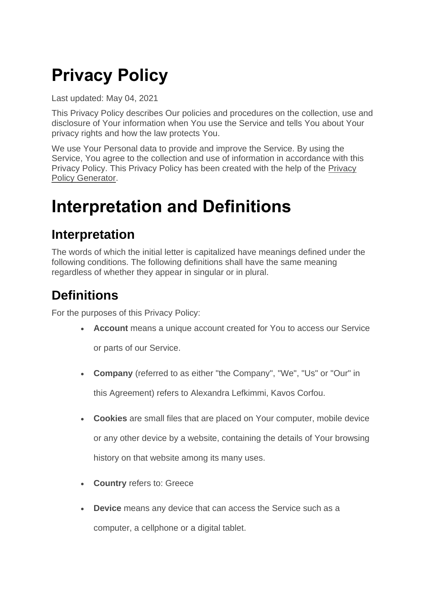# **Privacy Policy**

Last updated: May 04, 2021

This Privacy Policy describes Our policies and procedures on the collection, use and disclosure of Your information when You use the Service and tells You about Your privacy rights and how the law protects You.

We use Your Personal data to provide and improve the Service. By using the Service, You agree to the collection and use of information in accordance with this Privacy Policy. This Privacy Policy has been created with the help of the [Privacy](https://www.termsfeed.com/privacy-policy-generator/)  [Policy Generator.](https://www.termsfeed.com/privacy-policy-generator/)

## **Interpretation and Definitions**

### **Interpretation**

The words of which the initial letter is capitalized have meanings defined under the following conditions. The following definitions shall have the same meaning regardless of whether they appear in singular or in plural.

### **Definitions**

For the purposes of this Privacy Policy:

• **Account** means a unique account created for You to access our Service

or parts of our Service.

• **Company** (referred to as either "the Company", "We", "Us" or "Our" in

this Agreement) refers to Alexandra Lefkimmi, Kavos Corfou.

- **Cookies** are small files that are placed on Your computer, mobile device or any other device by a website, containing the details of Your browsing history on that website among its many uses.
- **Country** refers to: Greece
- **Device** means any device that can access the Service such as a computer, a cellphone or a digital tablet.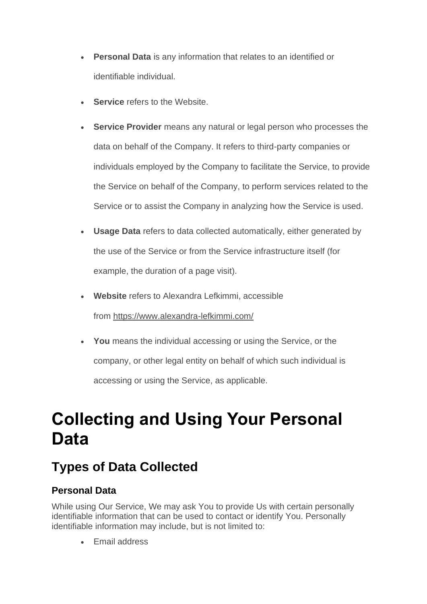- **Personal Data** is any information that relates to an identified or identifiable individual.
- **Service** refers to the Website.
- **Service Provider** means any natural or legal person who processes the data on behalf of the Company. It refers to third-party companies or individuals employed by the Company to facilitate the Service, to provide the Service on behalf of the Company, to perform services related to the Service or to assist the Company in analyzing how the Service is used.
- **Usage Data** refers to data collected automatically, either generated by the use of the Service or from the Service infrastructure itself (for example, the duration of a page visit).
- **Website** refers to Alexandra Lefkimmi, accessible from <https://www.alexandra-lefkimmi.com/>
- **You** means the individual accessing or using the Service, or the company, or other legal entity on behalf of which such individual is accessing or using the Service, as applicable.

## **Collecting and Using Your Personal Data**

### **Types of Data Collected**

### **Personal Data**

While using Our Service, We may ask You to provide Us with certain personally identifiable information that can be used to contact or identify You. Personally identifiable information may include, but is not limited to:

• Email address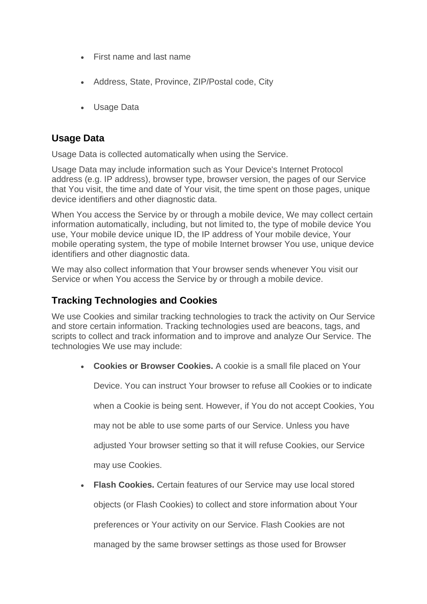- First name and last name
- Address, State, Province, ZIP/Postal code, City
- Usage Data

#### **Usage Data**

Usage Data is collected automatically when using the Service.

Usage Data may include information such as Your Device's Internet Protocol address (e.g. IP address), browser type, browser version, the pages of our Service that You visit, the time and date of Your visit, the time spent on those pages, unique device identifiers and other diagnostic data.

When You access the Service by or through a mobile device, We may collect certain information automatically, including, but not limited to, the type of mobile device You use, Your mobile device unique ID, the IP address of Your mobile device, Your mobile operating system, the type of mobile Internet browser You use, unique device identifiers and other diagnostic data.

We may also collect information that Your browser sends whenever You visit our Service or when You access the Service by or through a mobile device.

#### **Tracking Technologies and Cookies**

We use Cookies and similar tracking technologies to track the activity on Our Service and store certain information. Tracking technologies used are beacons, tags, and scripts to collect and track information and to improve and analyze Our Service. The technologies We use may include:

• **Cookies or Browser Cookies.** A cookie is a small file placed on Your

Device. You can instruct Your browser to refuse all Cookies or to indicate

when a Cookie is being sent. However, if You do not accept Cookies, You

may not be able to use some parts of our Service. Unless you have

adjusted Your browser setting so that it will refuse Cookies, our Service

may use Cookies.

• **Flash Cookies.** Certain features of our Service may use local stored

objects (or Flash Cookies) to collect and store information about Your

preferences or Your activity on our Service. Flash Cookies are not

managed by the same browser settings as those used for Browser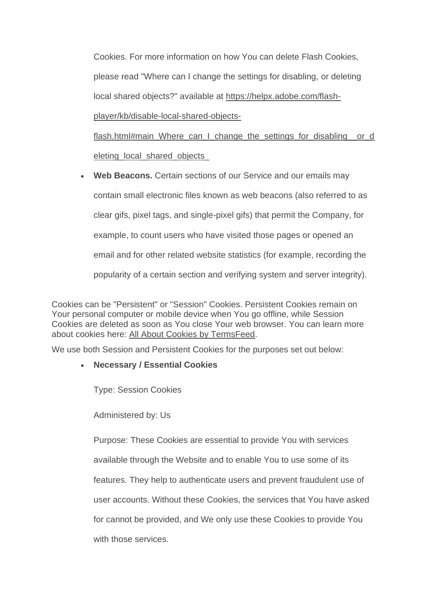Cookies. For more information on how You can delete Flash Cookies, please read "Where can I change the settings for disabling, or deleting local shared objects?" available at [https://helpx.adobe.com/flash](https://helpx.adobe.com/flash-player/kb/disable-local-shared-objects-flash.html#main_Where_can_I_change_the_settings_for_disabling__or_deleting_local_shared_objects_)[player/kb/disable-local-shared-objects-](https://helpx.adobe.com/flash-player/kb/disable-local-shared-objects-flash.html#main_Where_can_I_change_the_settings_for_disabling__or_deleting_local_shared_objects_)

flash.html#main\_Where\_can\_I\_change\_the\_settings\_for\_disabling\_or\_d eleting local shared objects

• **Web Beacons.** Certain sections of our Service and our emails may contain small electronic files known as web beacons (also referred to as clear gifs, pixel tags, and single-pixel gifs) that permit the Company, for example, to count users who have visited those pages or opened an email and for other related website statistics (for example, recording the popularity of a certain section and verifying system and server integrity).

Cookies can be "Persistent" or "Session" Cookies. Persistent Cookies remain on Your personal computer or mobile device when You go offline, while Session Cookies are deleted as soon as You close Your web browser. You can learn more about cookies here: [All About Cookies by TermsFeed.](https://www.termsfeed.com/blog/cookies/)

We use both Session and Persistent Cookies for the purposes set out below:

#### • **Necessary / Essential Cookies**

Type: Session Cookies

Administered by: Us

Purpose: These Cookies are essential to provide You with services available through the Website and to enable You to use some of its features. They help to authenticate users and prevent fraudulent use of user accounts. Without these Cookies, the services that You have asked for cannot be provided, and We only use these Cookies to provide You with those services.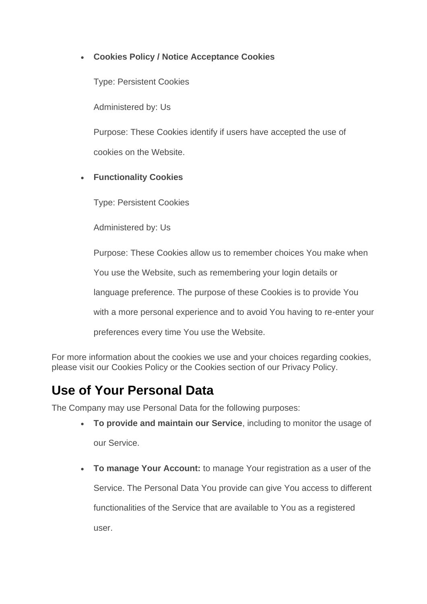#### • **Cookies Policy / Notice Acceptance Cookies**

Type: Persistent Cookies

Administered by: Us

Purpose: These Cookies identify if users have accepted the use of cookies on the Website.

#### • **Functionality Cookies**

Type: Persistent Cookies

Administered by: Us

Purpose: These Cookies allow us to remember choices You make when

You use the Website, such as remembering your login details or

language preference. The purpose of these Cookies is to provide You

with a more personal experience and to avoid You having to re-enter your

preferences every time You use the Website.

For more information about the cookies we use and your choices regarding cookies, please visit our Cookies Policy or the Cookies section of our Privacy Policy.

### **Use of Your Personal Data**

The Company may use Personal Data for the following purposes:

- **To provide and maintain our Service**, including to monitor the usage of our Service.
- **To manage Your Account:** to manage Your registration as a user of the Service. The Personal Data You provide can give You access to different functionalities of the Service that are available to You as a registered user.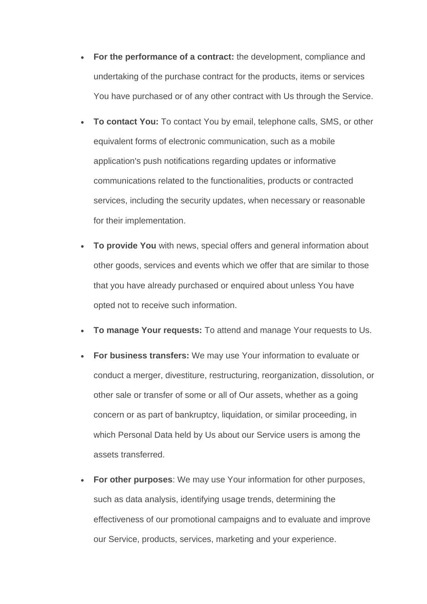- **For the performance of a contract:** the development, compliance and undertaking of the purchase contract for the products, items or services You have purchased or of any other contract with Us through the Service.
- **To contact You:** To contact You by email, telephone calls, SMS, or other equivalent forms of electronic communication, such as a mobile application's push notifications regarding updates or informative communications related to the functionalities, products or contracted services, including the security updates, when necessary or reasonable for their implementation.
- **To provide You** with news, special offers and general information about other goods, services and events which we offer that are similar to those that you have already purchased or enquired about unless You have opted not to receive such information.
- **To manage Your requests:** To attend and manage Your requests to Us.
- **For business transfers:** We may use Your information to evaluate or conduct a merger, divestiture, restructuring, reorganization, dissolution, or other sale or transfer of some or all of Our assets, whether as a going concern or as part of bankruptcy, liquidation, or similar proceeding, in which Personal Data held by Us about our Service users is among the assets transferred.
- **For other purposes**: We may use Your information for other purposes, such as data analysis, identifying usage trends, determining the effectiveness of our promotional campaigns and to evaluate and improve our Service, products, services, marketing and your experience.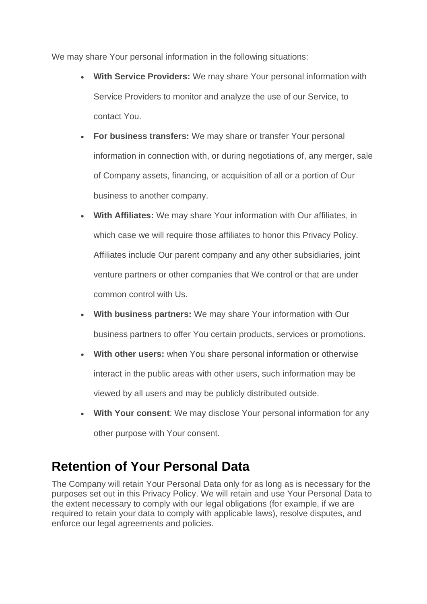We may share Your personal information in the following situations:

- **With Service Providers:** We may share Your personal information with Service Providers to monitor and analyze the use of our Service, to contact You.
- **For business transfers:** We may share or transfer Your personal information in connection with, or during negotiations of, any merger, sale of Company assets, financing, or acquisition of all or a portion of Our business to another company.
- **With Affiliates:** We may share Your information with Our affiliates, in which case we will require those affiliates to honor this Privacy Policy. Affiliates include Our parent company and any other subsidiaries, joint venture partners or other companies that We control or that are under common control with Us.
- **With business partners:** We may share Your information with Our business partners to offer You certain products, services or promotions.
- **With other users:** when You share personal information or otherwise interact in the public areas with other users, such information may be viewed by all users and may be publicly distributed outside.
- **With Your consent**: We may disclose Your personal information for any other purpose with Your consent.

### **Retention of Your Personal Data**

The Company will retain Your Personal Data only for as long as is necessary for the purposes set out in this Privacy Policy. We will retain and use Your Personal Data to the extent necessary to comply with our legal obligations (for example, if we are required to retain your data to comply with applicable laws), resolve disputes, and enforce our legal agreements and policies.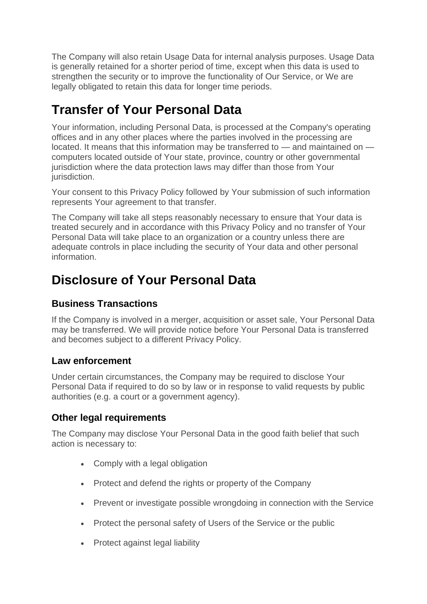The Company will also retain Usage Data for internal analysis purposes. Usage Data is generally retained for a shorter period of time, except when this data is used to strengthen the security or to improve the functionality of Our Service, or We are legally obligated to retain this data for longer time periods.

### **Transfer of Your Personal Data**

Your information, including Personal Data, is processed at the Company's operating offices and in any other places where the parties involved in the processing are located. It means that this information may be transferred to — and maintained on computers located outside of Your state, province, country or other governmental jurisdiction where the data protection laws may differ than those from Your jurisdiction.

Your consent to this Privacy Policy followed by Your submission of such information represents Your agreement to that transfer.

The Company will take all steps reasonably necessary to ensure that Your data is treated securely and in accordance with this Privacy Policy and no transfer of Your Personal Data will take place to an organization or a country unless there are adequate controls in place including the security of Your data and other personal information.

### **Disclosure of Your Personal Data**

#### **Business Transactions**

If the Company is involved in a merger, acquisition or asset sale, Your Personal Data may be transferred. We will provide notice before Your Personal Data is transferred and becomes subject to a different Privacy Policy.

#### **Law enforcement**

Under certain circumstances, the Company may be required to disclose Your Personal Data if required to do so by law or in response to valid requests by public authorities (e.g. a court or a government agency).

#### **Other legal requirements**

The Company may disclose Your Personal Data in the good faith belief that such action is necessary to:

- Comply with a legal obligation
- Protect and defend the rights or property of the Company
- Prevent or investigate possible wrongdoing in connection with the Service
- Protect the personal safety of Users of the Service or the public
- Protect against legal liability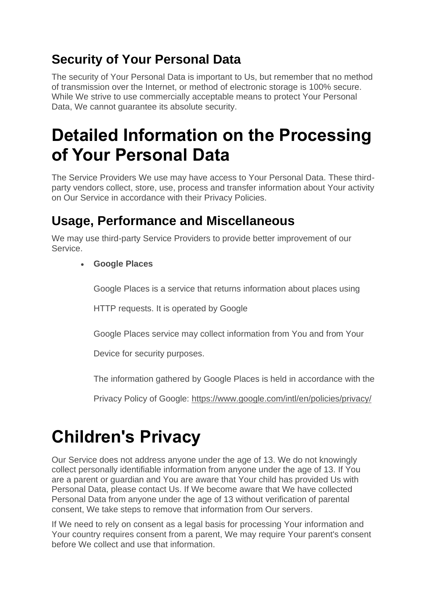### **Security of Your Personal Data**

The security of Your Personal Data is important to Us, but remember that no method of transmission over the Internet, or method of electronic storage is 100% secure. While We strive to use commercially acceptable means to protect Your Personal Data, We cannot guarantee its absolute security.

## **Detailed Information on the Processing of Your Personal Data**

The Service Providers We use may have access to Your Personal Data. These thirdparty vendors collect, store, use, process and transfer information about Your activity on Our Service in accordance with their Privacy Policies.

### **Usage, Performance and Miscellaneous**

We may use third-party Service Providers to provide better improvement of our Service.

#### • **Google Places**

Google Places is a service that returns information about places using

HTTP requests. It is operated by Google

Google Places service may collect information from You and from Your

Device for security purposes.

The information gathered by Google Places is held in accordance with the

Privacy Policy of Google: <https://www.google.com/intl/en/policies/privacy/>

# **Children's Privacy**

Our Service does not address anyone under the age of 13. We do not knowingly collect personally identifiable information from anyone under the age of 13. If You are a parent or guardian and You are aware that Your child has provided Us with Personal Data, please contact Us. If We become aware that We have collected Personal Data from anyone under the age of 13 without verification of parental consent, We take steps to remove that information from Our servers.

If We need to rely on consent as a legal basis for processing Your information and Your country requires consent from a parent, We may require Your parent's consent before We collect and use that information.